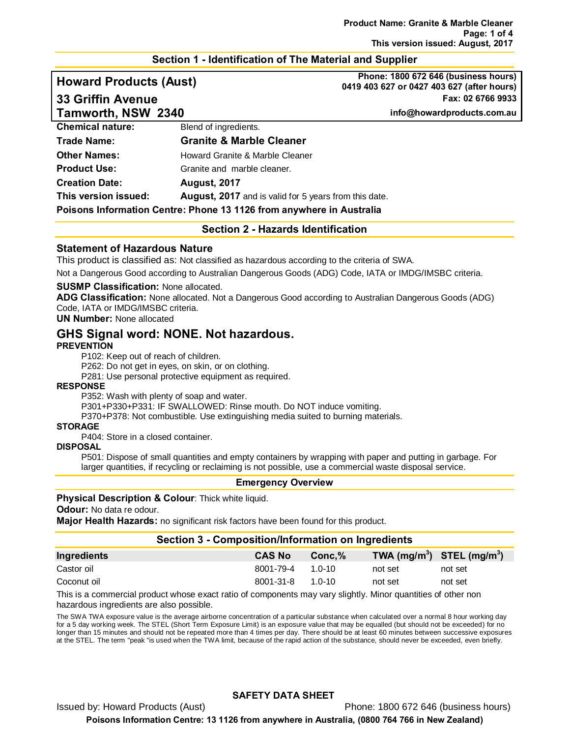#### **Section 1 - Identification of The Material and Supplier**

**Howard Products (Aust) Phone: 1800 672 646 (business hours) 0419 403 627 or 0427 403 627 (after hours) 33 Griffin Avenue Fax: 02 6766 9933**

**Tamworth, NSW 2340 info@howardproducts.com.au**

| <b>Chemical nature:</b>                                              | Blend of ingredients.                                 |
|----------------------------------------------------------------------|-------------------------------------------------------|
| <b>Trade Name:</b>                                                   | <b>Granite &amp; Marble Cleaner</b>                   |
| <b>Other Names:</b>                                                  | Howard Granite & Marble Cleaner                       |
| <b>Product Use:</b>                                                  | Granite and marble cleaner.                           |
| <b>Creation Date:</b>                                                | <b>August, 2017</b>                                   |
| This version issued:                                                 | August, 2017 and is valid for 5 years from this date. |
| Poisons Information Centre: Phone 13 1126 from anywhere in Australia |                                                       |

**Section 2 - Hazards Identification**

#### **Statement of Hazardous Nature**

This product is classified as: Not classified as hazardous according to the criteria of SWA.

Not a Dangerous Good according to Australian Dangerous Goods (ADG) Code, IATA or IMDG/IMSBC criteria.

#### **SUSMP Classification:** None allocated.

**ADG Classification:** None allocated. Not a Dangerous Good according to Australian Dangerous Goods (ADG) Code, IATA or IMDG/IMSBC criteria.

**UN Number:** None allocated

## **GHS Signal word: NONE. Not hazardous.**

#### **PREVENTION**

P102: Keep out of reach of children.

P262: Do not get in eyes, on skin, or on clothing.

P281: Use personal protective equipment as required.

#### **RESPONSE**

P352: Wash with plenty of soap and water.

P301+P330+P331: IF SWALLOWED: Rinse mouth. Do NOT induce vomiting.

P370+P378: Not combustible. Use extinguishing media suited to burning materials.

#### **STORAGE**

P404: Store in a closed container.

#### **DISPOSAL**

P501: Dispose of small quantities and empty containers by wrapping with paper and putting in garbage. For larger quantities, if recycling or reclaiming is not possible, use a commercial waste disposal service.

#### **Emergency Overview**

#### **Physical Description & Colour: Thick white liquid.**

**Odour:** No data re odour.

**Major Health Hazards:** no significant risk factors have been found for this product.

#### **Section 3 - Composition/Information on Ingredients**

| Ingredients | <b>CAS No</b>    | $Conc.\%$ |         | TWA $(mg/m^3)$ STEL $(mg/m^3)$ |
|-------------|------------------|-----------|---------|--------------------------------|
| Castor oil  | 8001-79-4 1.0-10 |           | not set | not set                        |
| Coconut oil | 8001-31-8 1.0-10 |           | not set | not set                        |

This is a commercial product whose exact ratio of components may vary slightly. Minor quantities of other non hazardous ingredients are also possible.

The SWA TWA exposure value is the average airborne concentration of a particular substance when calculated over a normal 8 hour working day for a 5 day working week. The STEL (Short Term Exposure Limit) is an exposure value that may be equalled (but should not be exceeded) for no longer than 15 minutes and should not be repeated more than 4 times per day. There should be at least 60 minutes between successive exposures at the STEL. The term "peak "is used when the TWA limit, because of the rapid action of the substance, should never be exceeded, even briefly.

#### **SAFETY DATA SHEET**

Issued by: Howard Products (Aust) Phone: 1800 672 646 (business hours)

**Poisons Information Centre: 13 1126 from anywhere in Australia, (0800 764 766 in New Zealand)**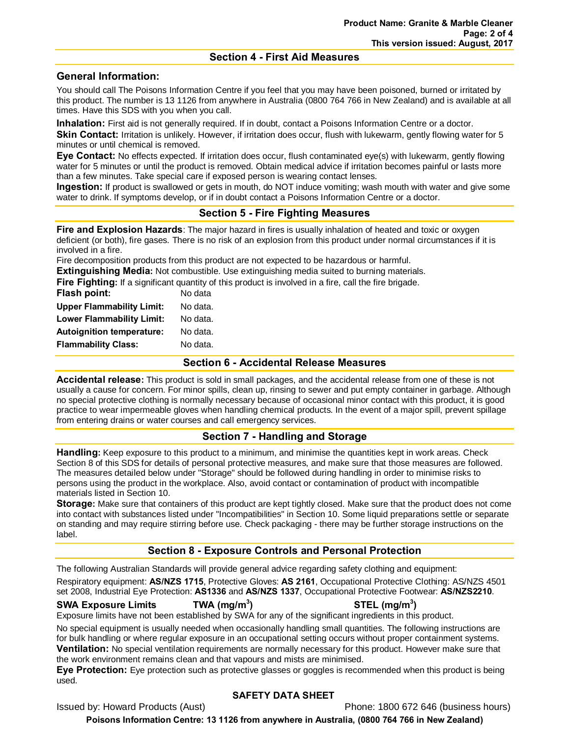#### **Section 4 - First Aid Measures**

## **General Information:**

You should call The Poisons Information Centre if you feel that you may have been poisoned, burned or irritated by this product. The number is 13 1126 from anywhere in Australia (0800 764 766 in New Zealand) and is available at all times. Have this SDS with you when you call.

**Inhalation:** First aid is not generally required. If in doubt, contact a Poisons Information Centre or a doctor. **Skin Contact:** Irritation is unlikely. However, if irritation does occur, flush with lukewarm, gently flowing water for 5 minutes or until chemical is removed.

**Eye Contact:** No effects expected. If irritation does occur, flush contaminated eye(s) with lukewarm, gently flowing water for 5 minutes or until the product is removed. Obtain medical advice if irritation becomes painful or lasts more than a few minutes. Take special care if exposed person is wearing contact lenses.

**Ingestion:** If product is swallowed or gets in mouth, do NOT induce vomiting; wash mouth with water and give some water to drink. If symptoms develop, or if in doubt contact a Poisons Information Centre or a doctor.

## **Section 5 - Fire Fighting Measures**

**Fire and Explosion Hazards**: The major hazard in fires is usually inhalation of heated and toxic or oxygen deficient (or both), fire gases. There is no risk of an explosion from this product under normal circumstances if it is involved in a fire.

Fire decomposition products from this product are not expected to be hazardous or harmful.

**Extinguishing Media:** Not combustible. Use extinguishing media suited to burning materials.

**Fire Fighting:** If a significant quantity of this product is involved in a fire, call the fire brigade.

| Flash point:                     | No data  |
|----------------------------------|----------|
| <b>Upper Flammability Limit:</b> | No data. |
| <b>Lower Flammability Limit:</b> | No data. |
| <b>Autoignition temperature:</b> | No data. |
| <b>Flammability Class:</b>       | No data. |

#### **Section 6 - Accidental Release Measures**

**Accidental release:** This product is sold in small packages, and the accidental release from one of these is not usually a cause for concern. For minor spills, clean up, rinsing to sewer and put empty container in garbage. Although no special protective clothing is normally necessary because of occasional minor contact with this product, it is good practice to wear impermeable gloves when handling chemical products. In the event of a major spill, prevent spillage from entering drains or water courses and call emergency services.

## **Section 7 - Handling and Storage**

**Handling:** Keep exposure to this product to a minimum, and minimise the quantities kept in work areas. Check Section 8 of this SDS for details of personal protective measures, and make sure that those measures are followed. The measures detailed below under "Storage" should be followed during handling in order to minimise risks to persons using the product in the workplace. Also, avoid contact or contamination of product with incompatible materials listed in Section 10.

**Storage:** Make sure that containers of this product are kept tightly closed. Make sure that the product does not come into contact with substances listed under "Incompatibilities" in Section 10. Some liquid preparations settle or separate on standing and may require stirring before use. Check packaging - there may be further storage instructions on the label.

## **Section 8 - Exposure Controls and Personal Protection**

The following Australian Standards will provide general advice regarding safety clothing and equipment: Respiratory equipment: **AS/NZS 1715**, Protective Gloves: **AS 2161**, Occupational Protective Clothing: AS/NZS 4501 set 2008, Industrial Eye Protection: **AS1336** and **AS/NZS 1337**, Occupational Protective Footwear: **AS/NZS2210**.

#### **SWA Exposure Limits TWA (mg/m3**

**) STEL (mg/m3 )** Exposure limits have not been established by SWA for any of the significant ingredients in this product.

No special equipment is usually needed when occasionally handling small quantities. The following instructions are for bulk handling or where regular exposure in an occupational setting occurs without proper containment systems. **Ventilation:** No special ventilation requirements are normally necessary for this product. However make sure that the work environment remains clean and that vapours and mists are minimised.

**Eye Protection:** Eye protection such as protective glasses or goggles is recommended when this product is being used.

## **SAFETY DATA SHEET**

Issued by: Howard Products (Aust) Phone: 1800 672 646 (business hours)

**Poisons Information Centre: 13 1126 from anywhere in Australia, (0800 764 766 in New Zealand)**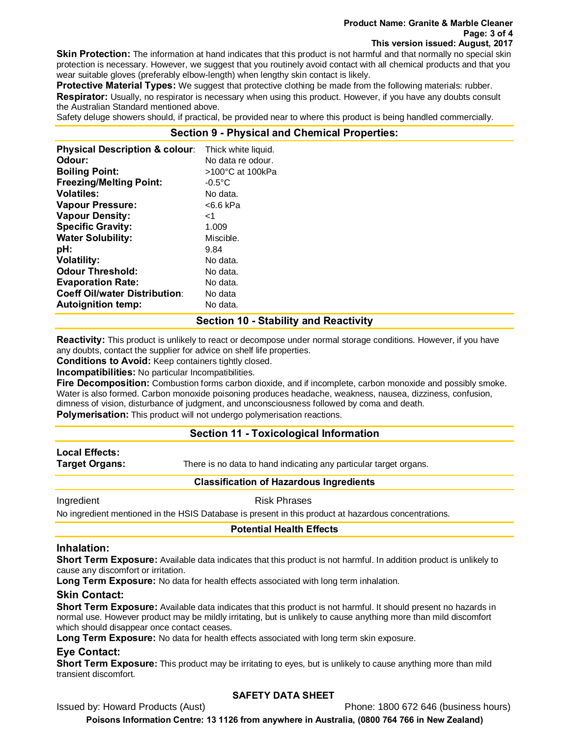#### **Product Name: Granite & Marble Cleaner Page: 3 of 4 This version issued: August, 2017**

**Skin Protection:** The information at hand indicates that this product is not harmful and that normally no special skin protection is necessary. However, we suggest that you routinely avoid contact with all chemical products and that you wear suitable gloves (preferably elbow-length) when lengthy skin contact is likely.

**Protective Material Types:** We suggest that protective clothing be made from the following materials: rubber. **Respirator:** Usually, no respirator is necessary when using this product. However, if you have any doubts consult the Australian Standard mentioned above.

Safety deluge showers should, if practical, be provided near to where this product is being handled commercially.

## **Section 9 - Physical and Chemical Properties:**

| <b>Physical Description &amp; colour:</b> | Thick white liquid. |
|-------------------------------------------|---------------------|
| Odour:                                    | No data re odour.   |
| <b>Boiling Point:</b>                     | >100°C at 100kPa    |
| <b>Freezing/Melting Point:</b>            | $-0.5^{\circ}$ C    |
| <b>Volatiles:</b>                         | No data.            |
| <b>Vapour Pressure:</b>                   | <6.6 kPa            |
| <b>Vapour Density:</b>                    | ا>                  |
| <b>Specific Gravity:</b>                  | 1.009               |
| <b>Water Solubility:</b>                  | Miscible.           |
| pH:                                       | 9.84                |
| <b>Volatility:</b>                        | No data.            |
| <b>Odour Threshold:</b>                   | No data.            |
| <b>Evaporation Rate:</b>                  | No data.            |
| <b>Coeff Oil/water Distribution:</b>      | No data             |
| <b>Autoignition temp:</b>                 | No data.            |

#### **Section 10 - Stability and Reactivity**

**Reactivity:** This product is unlikely to react or decompose under normal storage conditions. However, if you have any doubts, contact the supplier for advice on shelf life properties.

**Conditions to Avoid:** Keep containers tightly closed.

**Incompatibilities:** No particular Incompatibilities.

**Fire Decomposition:** Combustion forms carbon dioxide, and if incomplete, carbon monoxide and possibly smoke. Water is also formed. Carbon monoxide poisoning produces headache, weakness, nausea, dizziness, confusion, dimness of vision, disturbance of judgment, and unconsciousness followed by coma and death.

**Polymerisation:** This product will not undergo polymerisation reactions.

## **Section 11 - Toxicological Information**

# **Local Effects:**

**Target Organs:** There is no data to hand indicating any particular target organs.

#### **Classification of Hazardous Ingredients**

Ingredient **Risk Phrases** 

No ingredient mentioned in the HSIS Database is present in this product at hazardous concentrations.

#### **Potential Health Effects**

#### **Inhalation:**

**Short Term Exposure:** Available data indicates that this product is not harmful. In addition product is unlikely to cause any discomfort or irritation.

**Long Term Exposure:** No data for health effects associated with long term inhalation.

## **Skin Contact:**

**Short Term Exposure:** Available data indicates that this product is not harmful. It should present no hazards in normal use. However product may be mildly irritating, but is unlikely to cause anything more than mild discomfort which should disappear once contact ceases.

**Long Term Exposure:** No data for health effects associated with long term skin exposure.

## **Eye Contact:**

**Short Term Exposure:** This product may be irritating to eyes, but is unlikely to cause anything more than mild transient discomfort.

## **SAFETY DATA SHEET**

Issued by: Howard Products (Aust) **Phone: 1800 672 646 (business hours)** 

**Poisons Information Centre: 13 1126 from anywhere in Australia, (0800 764 766 in New Zealand)**